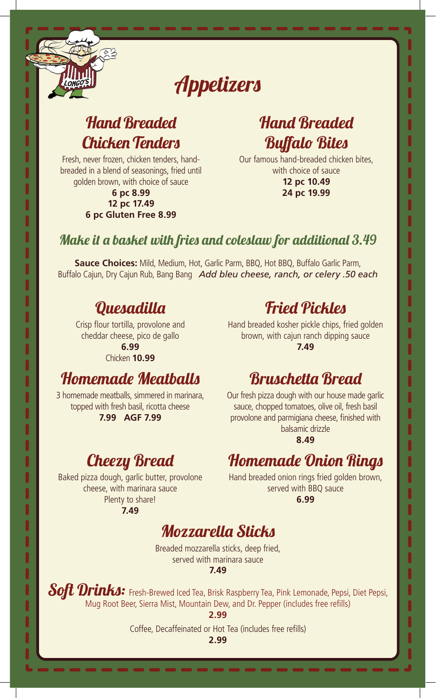# Appetizers

### Hand Breaded Chicken Tenders

Fresh, never frozen, chicken tenders, handbreaded in a blend of seasonings, fried until golden brown, with choice of sauce

#### **6 pc 8.99 12 pc 17.49 6 pc Gluten Free 8.99**

 $\ddot{\bullet}$ 

### Hand Breaded Buffalo Bites

Our famous hand-breaded chicken bites, with choice of sauce **12 pc 10.49 24 pc 19.99**

#### Make it a basket with fries and coleslaw for additional 3.49

**Sauce Choices:** Mild, Medium, Hot, Garlic Parm, BBQ, Hot BBQ, Buffalo Garlic Parm, Buffalo Cajun, Dry Cajun Rub, Bang Bang *Add bleu cheese, ranch, or celery .50 each*

### Quesadilla

Crisp flour tortilla, provolone and cheddar cheese, pico de gallo **6.99** Chicken **10.99**

### Homemade Meatballs

3 homemade meatballs, simmered in marinara, topped with fresh basil, ricotta cheese **7.99 AGF 7.99**

### Cheezy Bread

Baked pizza dough, garlic butter, provolone cheese, with marinara sauce Plenty to share!

**7.49**

### Fried Pickles

Hand breaded kosher pickle chips, fried golden brown, with cajun ranch dipping sauce **7.49**

### Bruschetta Bread

Our fresh pizza dough with our house made garlic sauce, chopped tomatoes, olive oil, fresh basil provolone and parmigiana cheese, finished with balsamic drizzle

**8.49**

### Homemade Onion Rings

Hand breaded onion rings fried golden brown, served with BBQ sauce **6.99**

|<br>|<br>|<br>|

### Mozzarella Sticks

Breaded mozzarella sticks, deep fried, served with marinara sauce

**7.49**

Soft Drinks: Fresh-Brewed Iced Tea, Brisk Raspberry Tea, Pink Lemonade, Pepsi, Diet Pepsi, Mug Root Beer, Sierra Mist, Mountain Dew, and Dr. Pepper (includes free refills)

**2.99**

Coffee, Decaffeinated or Hot Tea (includes free refills)

**2.99**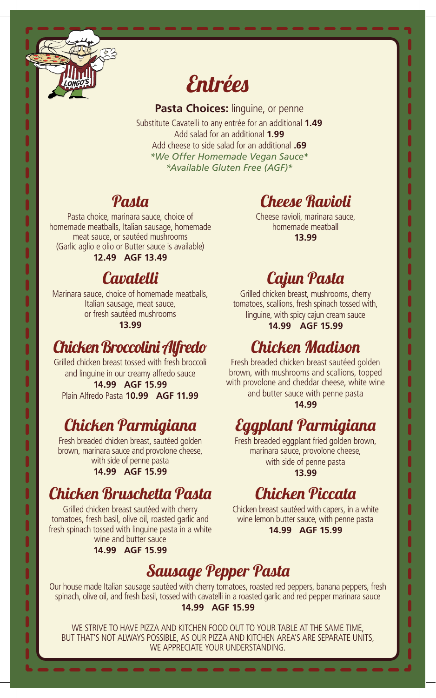

# Entrées

**Pasta Choices: linguine, or penne** Substitute Cavatelli to any entrée for an additional **1.49** Add salad for an additional **1.99** Add cheese to side salad for an additional **.69** *\*We Offer Homemade Vegan Sauce\* \*Available Gluten Free (AGF)\**

### Pasta

Pasta choice, marinara sauce, choice of homemade meatballs, Italian sausage, homemade meat sauce, or sautéed mushrooms (Garlic aglio e olio or Butter sauce is available)

**12.49 AGF 13.49**

### **Cavatelli**

Marinara sauce, choice of homemade meatballs, Italian sausage, meat sauce, or fresh sautéed mushrooms

#### **13.99**

### Chicken Broccolini Alfredo

Grilled chicken breast tossed with fresh broccoli and linguine in our creamy alfredo sauce **14.99 AGF 15.99** Plain Alfredo Pasta **10.99 AGF 11.99**

### Chicken Parmigiana

Fresh breaded chicken breast, sautéed golden brown, marinara sauce and provolone cheese, with side of penne pasta **14.99 AGF 15.99**

### Chicken Bruschetta Pasta

Grilled chicken breast sautéed with cherry tomatoes, fresh basil, olive oil, roasted garlic and fresh spinach tossed with linguine pasta in a white wine and butter sauce

**14.99 AGF 15.99**

# Cheese Ravioli

Cheese ravioli, marinara sauce, homemade meatball **13.99**

### Cajun Pasta

Grilled chicken breast, mushrooms, cherry tomatoes, scallions, fresh spinach tossed with, linguine, with spicy cajun cream sauce **14.99 AGF 15.99**

### Chicken Madison

Fresh breaded chicken breast sautéed golden brown, with mushrooms and scallions, topped with provolone and cheddar cheese, white wine and butter sauce with penne pasta

**14.99**

# Eggplant Parmigiana

Fresh breaded eggplant fried golden brown, marinara sauce, provolone cheese, with side of penne pasta **13.99**

### Chicken Piccata

Chicken breast sautéed with capers, in a white wine lemon butter sauce, with penne pasta **14.99 AGF 15.99**

### Sausage Pepper Pasta

Our house made Italian sausage sautéed with cherry tomatoes, roasted red peppers, banana peppers, fresh spinach, olive oil, and fresh basil, tossed with cavatelli in a roasted garlic and red pepper marinara sauce **14.99 AGF 15.99**

WE STRIVE TO HAVE PIZZA AND KITCHEN FOOD OUT TO YOUR TABLE AT THE SAME TIME, BUT THAT'S NOT ALWAYS POSSIBLE, AS OUR PIZZA AND KITCHEN AREA'S ARE SEPARATE UNITS, WE APPRECIATE YOUR UNDERSTANDING.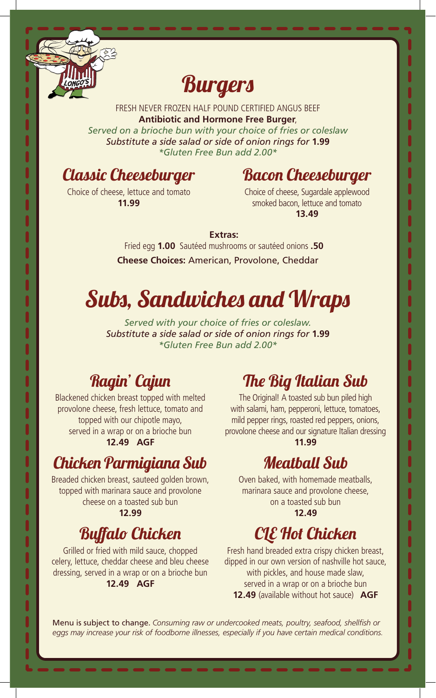

**IIII**<br> **III**<br> **III**<br> **II** 

j

l

# **Burgers**

FRESH NEVER FROZEN HALF POUND CERTIFIED ANGUS BEEF **Antibiotic and Hormone Free Burger**,

*Served on a brioche bun with your choice of fries or coleslaw Substitute a side salad or side of onion rings for* **1.99** *\*Gluten Free Bun add 2.00\**

### Classic Cheeseburger

### Bacon Cheeseburger

Choice of cheese, lettuce and tomato **11.99**

Choice of cheese, Sugardale applewood smoked bacon, lettuce and tomato **13.49**

#### **Extras:**

Fried egg **1.00** Sautéed mushrooms or sautéed onions **.50 Cheese Choices:** American, Provolone, Cheddar

# Subs, Sandwiches and Wraps

*Served with your choice of fries or coleslaw. Substitute a side salad or side of onion rings for* **1.99** *\*Gluten Free Bun add 2.00\**

### Ragin' Cajun

Blackened chicken breast topped with melted provolone cheese, fresh lettuce, tomato and topped with our chipotle mayo, served in a wrap or on a brioche bun **12.49 AGF**

### Chicken Parmigiana Sub

Breaded chicken breast, sauteed golden brown, topped with marinara sauce and provolone cheese on a toasted sub bun **12.99**

### Buffalo Chicken

Grilled or fried with mild sauce, chopped celery, lettuce, cheddar cheese and bleu cheese dressing, served in a wrap or on a brioche bun **12.49 AGF**

### The Big Italian Sub

The Original! A toasted sub bun piled high with salami, ham, pepperoni, lettuce, tomatoes, mild pepper rings, roasted red peppers, onions, provolone cheese and our signature Italian dressing **11.99**

 $\begin{array}{c} \n 0 \\
0 \\
1\n \end{array}$ 

### Meatball Sub

Oven baked, with homemade meatballs, marinara sauce and provolone cheese, on a toasted sub bun **12.49**

# **CLE** Hot Chicken

Fresh hand breaded extra crispy chicken breast, dipped in our own version of nashville hot sauce, with pickles, and house made slaw, served in a wrap or on a brioche bun **12.49** (available without hot sauce) **AGF**

Menu is subject to change. *Consuming raw or undercooked meats, poultry, seafood, shellfish or eggs may increase your risk of foodborne illnesses, especially if you have certain medical conditions.*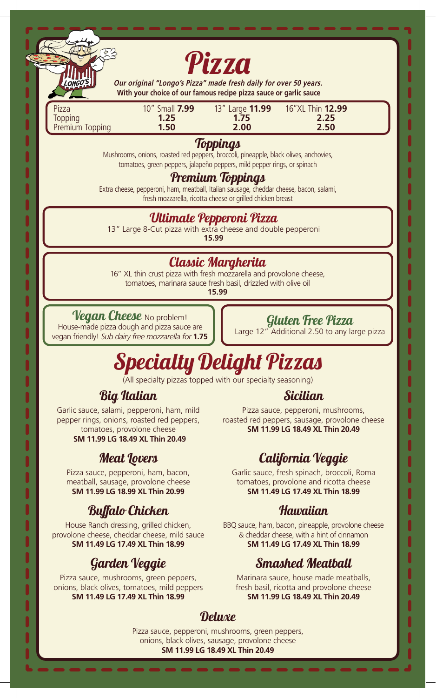

**Our original "Longo's Pizza" made fresh daily for over 50 years. With your choice of our famous recipe pizza sauce or garlic sauce**

| Pizza           | 10" Small 7.99 |      | 13" Large <b>11.99</b> 16"XL Thin <b>12.99</b> |
|-----------------|----------------|------|------------------------------------------------|
| Topping         | 1.25           | 1.75 | 2.25                                           |
| Premium Topping | 1.50           | 2.00 | 2.50                                           |

#### **Toppings**

Mushrooms, onions, roasted red peppers, broccoli, pineapple, black olives, anchovies, tomatoes, green peppers, jalapeño peppers, mild pepper rings, or spinach

#### Premium Toppings

Extra cheese, pepperoni, ham, meatball, Italian sausage, cheddar cheese, bacon, salami, fresh mozzarella, ricotta cheese or grilled chicken breast

#### Ultimate Pepperoni Pizza

13" Large 8-Cut pizza with extra cheese and double pepperoni

**15.99**

#### Classic Margherita

16" XL thin crust pizza with fresh mozzarella and provolone cheese, tomatoes, marinara sauce fresh basil, drizzled with olive oil **15.99**

#### Vegan Cheese No problem!

ONGO.

 $\begin{array}{c} \n 1 \\
1 \\
0\n \end{array}$ 

House-made pizza dough and pizza sauce are vegan friendly! *Sub dairy free mozzarella for* **1.75**

#### Gluten Free Pizza

Large 12" Additional 2.50 to any large pizza

# Specialty Delight Pizzas

(All specialty pizzas topped with our specialty seasoning)

#### Big Italian

Garlic sauce, salami, pepperoni, ham, mild pepper rings, onions, roasted red peppers, tomatoes, provolone cheese **SM 11.99 LG 18.49 XL Thin 20.49**

### Meat Lovers

Pizza sauce, pepperoni, ham, bacon, meatball, sausage, provolone cheese **SM 11.99 LG 18.99 XL Thin 20.99**

### Buffalo Chicken

House Ranch dressing, grilled chicken, provolone cheese, cheddar cheese, mild sauce **SM 11.49 LG 17.49 XL Thin 18.99**

### Garden Veggie

Pizza sauce, mushrooms, green peppers, onions, black olives, tomatoes, mild peppers **SM 11.49 LG 17.49 XL Thin 18.99**

#### Sicilian

Pizza sauce, pepperoni, mushrooms, roasted red peppers, sausage, provolone cheese **SM 11.99 LG 18.49 XL Thin 20.49**

### California Veggie

Garlic sauce, fresh spinach, broccoli, Roma tomatoes, provolone and ricotta cheese **SM 11.49 LG 17.49 XL Thin 18.99**

#### **Hawaiian**

BBQ sauce, ham, bacon, pineapple, provolone cheese & cheddar cheese, with a hint of cinnamon **SM 11.49 LG 17.49 XL Thin 18.99**

### Smashed Meatball

Marinara sauce, house made meatballs, fresh basil, ricotta and provolone cheese **SM 11.99 LG 18.49 XL Thin 20.49**

#### **Deluxe**

Pizza sauce, pepperoni, mushrooms, green peppers, onions, black olives, sausage, provolone cheese **SM 11.99 LG 18.49 XL Thin 20.49**